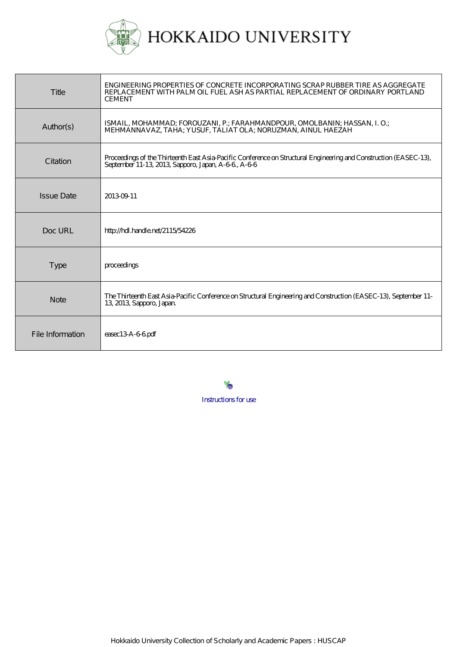

| Title             | ENGINEERING PROPERTIES OF CONCRETE INCORPORATING SCRAP RUBBER TIRE AS AGGREGATE<br>REPLACEMENT WITH PALM OIL FUEL ASH AS PARTIAL REPLACEMENT OF ORDINARY PORTLAND<br><b>CEMENT</b> |
|-------------------|------------------------------------------------------------------------------------------------------------------------------------------------------------------------------------|
| Author(s)         | ISMAIL, MOHAMMAD; FOROUZANI, P.; FARAHMANDPOUR, OMOLBANIN; HASSAN, I. O.;<br>MEHMÁNNAVAZ, TAHA; YUSUF, TÁLIAT OLA; NORUZMAN, AINUL HAEZAH                                          |
| Citation          | Proceedings of the Thirteenth East Asia-Pacific Conference on Structural Engineering and Construction (EASEC-13),<br>September 11-13, 2013, Sapporo, Japan, A-6-6, A-6-6           |
| <b>Issue Date</b> | 20130911                                                                                                                                                                           |
| $Doc$ URI         | http://hdl.handle.net/2115/54226                                                                                                                                                   |
| <b>Type</b>       | proceedings                                                                                                                                                                        |
| <b>Note</b>       | The Thirteenth East Asia-Pacific Conference on Structural Engineering and Construction (EASEC-13), September 11-<br>13, 2013, Sapporo, Japan                                       |
| File Information  | easec13A-66pdf                                                                                                                                                                     |

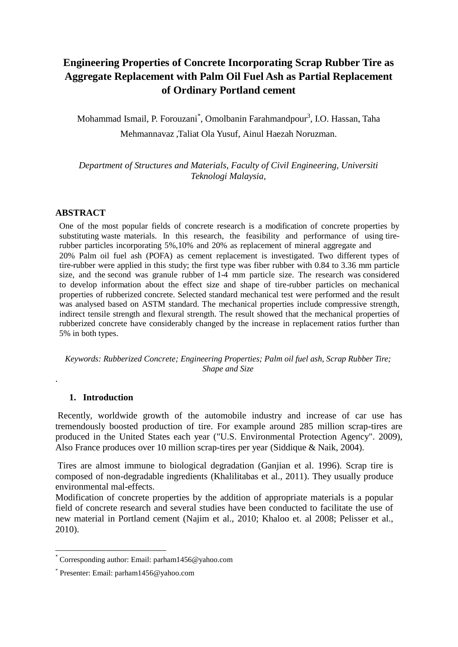# **Engineering Properties of Concrete Incorporating Scrap Rubber Tire as Aggregate Replacement with Palm Oil Fuel Ash as Partial Replacement of Ordinary Portland cement**

Mohammad Ismail, P. Forouzani<sup>\*</sup>, Omolbanin Farahmandpour<sup>3</sup>, I.O. Hassan, Taha Mehmannavaz ,Taliat Ola Yusuf, Ainul Haezah Noruzman.

*Department of Structures and Materials, Faculty of Civil Engineering, Universiti Teknologi Malaysia,*

## **ABSTRACT**

One of the most popular fields of concrete research is a modification of concrete properties by substituting waste materials. In this research, the feasibility and performance of using tirerubber particles incorporating 5%,10% and 20% as replacement of mineral aggregate and 20% Palm oil fuel ash (POFA) as cement replacement is investigated. Two different types of tire-rubber were applied in this study; the first type was fiber rubber with 0.84 to 3.36 mm particle size, and the second was granule rubber of 1-4 mm particle size. The research was considered to develop information about the effect size and shape of tire-rubber particles on mechanical properties of rubberized concrete. Selected standard mechanical test were performed and the result was analysed based on ASTM standard. The mechanical properties include compressive strength, indirect tensile strength and flexural strength. The result showed that the mechanical properties of rubberized concrete have considerably changed by the increase in replacement ratios further than 5% in both types.

*Keywords: Rubberized Concrete; Engineering Properties; Palm oil fuel ash, Scrap Rubber Tire; Shape and Size*

#### **1. Introduction**

.

Recently, worldwide growth of the automobile industry and increase of car use has tremendously boosted production of tire. For example around 285 million scrap-tires are produced in the United States each year ("U.S. Environmental Protection Agency". 2009), Also France produces over 10 million scrap-tires per year (Siddique & Naik, 2004).

Tires are almost immune to biological degradation (Ganjian et al. 1996). Scrap tire is composed of non-degradable ingredients (Khalilitabas et al., 2011). They usually produce environmental mal-effects.

Modification of concrete properties by the addition of appropriate materials is a popular field of concrete research and several studies have been conducted to facilitate the use of new material in Portland cement (Najim et al., 2010; Khaloo et. al 2008; Pelisser et al., 2010).

<sup>\*</sup> Corresponding author: Email: parham1456@yahoo.com

<sup>\*</sup> Presenter: Email: parham1456@yahoo.com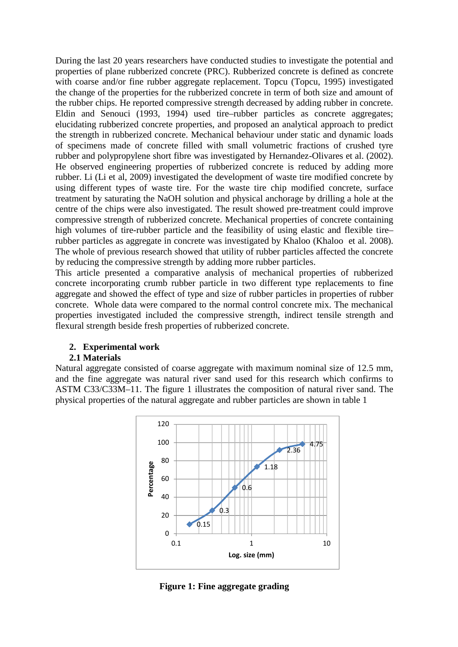During the last 20 years researchers have conducted studies to investigate the potential and properties of plane rubberized concrete (PRC). Rubberized concrete is defined as concrete with coarse and/or fine rubber aggregate replacement. Topcu (Topcu, 1995) investigated the change of the properties for the rubberized concrete in term of both size and amount of the rubber chips. He reported compressive strength decreased by adding rubber in concrete. Eldin and Senouci (1993, 1994) used tire–rubber particles as concrete aggregates; elucidating rubberized concrete properties, and proposed an analytical approach to predict the strength in rubberized concrete. Mechanical behaviour under static and dynamic loads of specimens made of concrete filled with small volumetric fractions of crushed tyre rubber and polypropylene short fibre was investigated by Hernandez-Olivares et al. (2002). He observed engineering properties of rubberized concrete is reduced by adding more rubber. Li (Li et al, 2009) investigated the development of waste tire modified concrete by using different types of waste tire. For the waste tire chip modified concrete, surface treatment by saturating the NaOH solution and physical anchorage by drilling a hole at the centre of the chips were also investigated. The result showed pre-treatment could improve compressive strength of rubberized concrete. Mechanical properties of concrete containing high volumes of tire-rubber particle and the feasibility of using elastic and flexible tire– rubber particles as aggregate in concrete was investigated by Khaloo (Khaloo et al. 2008). The whole of previous research showed that utility of rubber particles affected the concrete by reducing the compressive strength by adding more rubber particles.

This article presented a comparative analysis of mechanical properties of rubberized concrete incorporating crumb rubber particle in two different type replacements to fine aggregate and showed the effect of type and size of rubber particles in properties of rubber concrete. Whole data were compared to the normal control concrete mix. The mechanical properties investigated included the compressive strength, indirect tensile strength and flexural strength beside fresh properties of rubberized concrete.

#### **2. Experimental work**

## **2.1 Materials**

Natural aggregate consisted of coarse aggregate with maximum nominal size of 12.5 mm, and the fine aggregate was natural river sand used for this research which confirms to ASTM C33/C33M–11. The figure 1 illustrates the composition of natural river sand. The physical properties of the natural aggregate and rubber particles are shown in table 1



**Figure 1: Fine aggregate grading**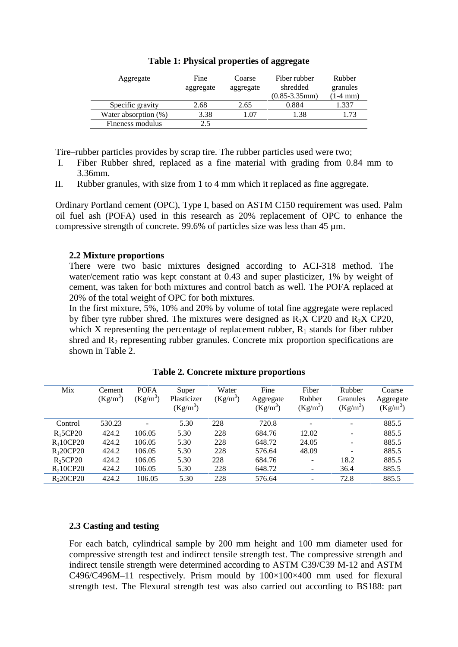| Aggregate            | Fine<br>aggregate | Coarse<br>aggregate | Fiber rubber<br>shredded<br>$(0.85 - 3.35$ mm $)$ | Rubber<br>granules<br>$(1-4)$ mm) |
|----------------------|-------------------|---------------------|---------------------------------------------------|-----------------------------------|
| Specific gravity     | 2.68              | 2.65                | 0.884                                             | 1.337                             |
| Water absorption (%) | 3.38              | 1.07                | 1.38                                              | 1.73                              |
| Fineness modulus     | 2.5               |                     |                                                   |                                   |

#### **Table 1: Physical properties of aggregate**

Tire–rubber particles provides by scrap tire. The rubber particles used were two;

- I. Fiber Rubber shred, replaced as a fine material with grading from 0.84 mm to 3.36mm.
- II. Rubber granules, with size from 1 to 4 mm which it replaced as fine aggregate.

Ordinary Portland cement (OPC), Type I, based on ASTM C150 requirement was used. Palm oil fuel ash (POFA) used in this research as 20% replacement of OPC to enhance the compressive strength of concrete. 99.6% of particles size was less than 45 µm.

#### **2.2 Mixture proportions**

There were two basic mixtures designed according to ACI-318 method. The water/cement ratio was kept constant at 0.43 and super plasticizer, 1% by weight of cement, was taken for both mixtures and control batch as well. The POFA replaced at 20% of the total weight of OPC for both mixtures.

In the first mixture, 5%, 10% and 20% by volume of total fine aggregate were replaced by fiber tyre rubber shred. The mixtures were designed as  $R_1X$  CP20 and  $R_2X$  CP20, which X representing the percentage of replacement rubber,  $R_1$  stands for fiber rubber shred and  $R_2$  representing rubber granules. Concrete mix proportion specifications are shown in Table 2.

| Mix                   | Cement<br>$(Kg/m^3)$ | <b>POFA</b><br>$(Kg/m^3)$ | Super<br>Plasticizer<br>$(Kg/m^3)$ | Water<br>$(Kg/m^3)$ | Fine<br>Aggregate<br>$(Kg/m^3)$ | Fiber<br>Rubber<br>$(Kg/m^3)$ | Rubber<br>Granules<br>$(Kg/m^3)$ | Coarse<br>Aggregate<br>$(Kg/m^3)$ |
|-----------------------|----------------------|---------------------------|------------------------------------|---------------------|---------------------------------|-------------------------------|----------------------------------|-----------------------------------|
| Control               | 530.23               | $\overline{\phantom{0}}$  | 5.30                               | 228                 | 720.8                           | $\overline{\phantom{0}}$      | -                                | 885.5                             |
| R <sub>1</sub> 5CP20  | 424.2                | 106.05                    | 5.30                               | 228                 | 684.76                          | 12.02                         | -                                | 885.5                             |
| R <sub>1</sub> 10CP20 | 424.2                | 106.05                    | 5.30                               | 228                 | 648.72                          | 24.05                         | $\overline{\phantom{0}}$         | 885.5                             |
| R <sub>1</sub> 20CP20 | 424.2                | 106.05                    | 5.30                               | 228                 | 576.64                          | 48.09                         |                                  | 885.5                             |
| R <sub>2</sub> 5CP20  | 424.2                | 106.05                    | 5.30                               | 228                 | 684.76                          | $\overline{\phantom{0}}$      | 18.2                             | 885.5                             |
| R <sub>2</sub> 10CP20 | 424.2                | 106.05                    | 5.30                               | 228                 | 648.72                          |                               | 36.4                             | 885.5                             |
| R <sub>2</sub> 0CP20  | 424.2                | 106.05                    | 5.30                               | 228                 | 576.64                          |                               | 72.8                             | 885.5                             |

**Table 2. Concrete mixture proportions**

#### **2.3 Casting and testing**

For each batch, cylindrical sample by 200 mm height and 100 mm diameter used for compressive strength test and indirect tensile strength test. The compressive strength and indirect tensile strength were determined according to ASTM C39/C39 M-12 and ASTM C496/C496M–11 respectively. Prism mould by  $100\times100\times400$  mm used for flexural strength test. The Flexural strength test was also carried out according to BS188: part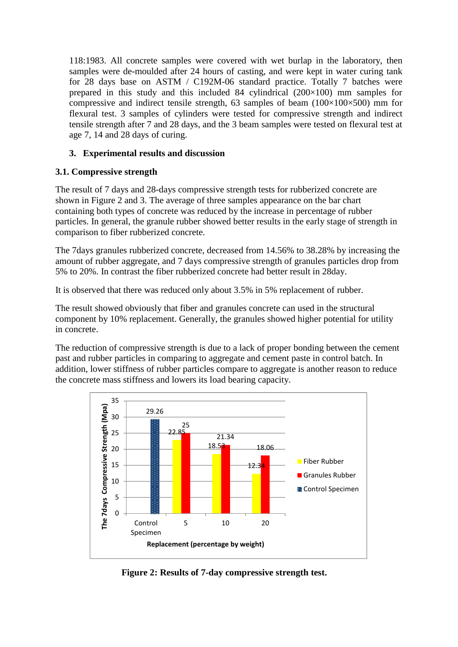118:1983. All concrete samples were covered with wet burlap in the laboratory, then samples were de-moulded after 24 hours of casting, and were kept in water curing tank for 28 days base on ASTM / C192M-06 standard practice. Totally 7 batches were prepared in this study and this included 84 cylindrical  $(200\times100)$  mm samples for compressive and indirect tensile strength, 63 samples of beam  $(100\times100\times500)$  mm for flexural test. 3 samples of cylinders were tested for compressive strength and indirect tensile strength after 7 and 28 days, and the 3 beam samples were tested on flexural test at age 7, 14 and 28 days of curing.

## **3. Experimental results and discussion**

# **3.1. Compressive strength**

The result of 7 days and 28-days compressive strength tests for rubberized concrete are shown in Figure 2 and 3. The average of three samples appearance on the bar chart containing both types of concrete was reduced by the increase in percentage of rubber particles. In general, the granule rubber showed better results in the early stage of strength in comparison to fiber rubberized concrete.

The 7days granules rubberized concrete, decreased from 14.56% to 38.28% by increasing the amount of rubber aggregate, and 7 days compressive strength of granules particles drop from 5% to 20%. In contrast the fiber rubberized concrete had better result in 28day.

It is observed that there was reduced only about 3.5% in 5% replacement of rubber.

The result showed obviously that fiber and granules concrete can used in the structural component by 10% replacement. Generally, the granules showed higher potential for utility in concrete.

The reduction of compressive strength is due to a lack of proper bonding between the cement past and rubber particles in comparing to aggregate and cement paste in control batch. In addition, lower stiffness of rubber particles compare to aggregate is another reason to reduce the concrete mass stiffness and lowers its load bearing capacity.



**Figure 2: Results of 7-day compressive strength test.**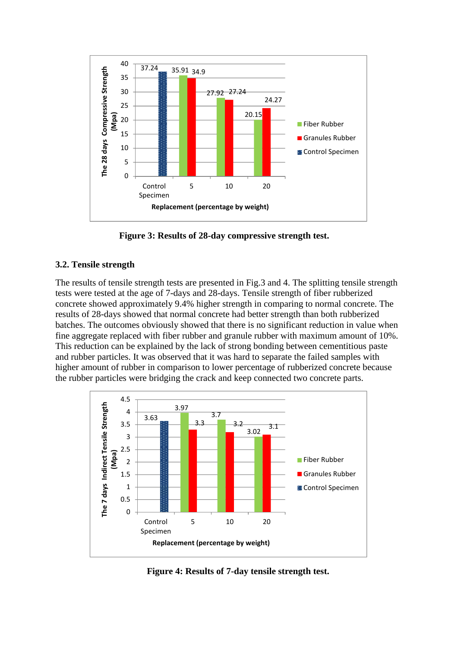

**Figure 3: Results of 28-day compressive strength test.**

## **3.2. Tensile strength**

The results of tensile strength tests are presented in Fig.3 and 4. The splitting tensile strength tests were tested at the age of 7-days and 28-days. Tensile strength of fiber rubberized concrete showed approximately 9.4% higher strength in comparing to normal concrete. The results of 28-days showed that normal concrete had better strength than both rubberized batches. The outcomes obviously showed that there is no significant reduction in value when fine aggregate replaced with fiber rubber and granule rubber with maximum amount of 10%. This reduction can be explained by the lack of strong bonding between cementitious paste and rubber particles. It was observed that it was hard to separate the failed samples with higher amount of rubber in comparison to lower percentage of rubberized concrete because the rubber particles were bridging the crack and keep connected two concrete parts.



**Figure 4: Results of 7-day tensile strength test.**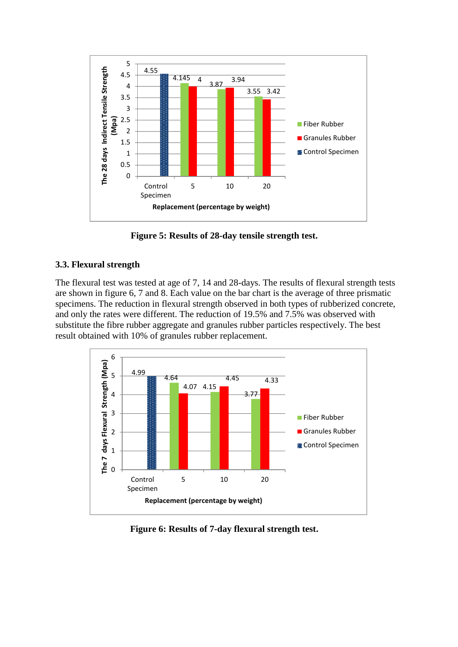

**Figure 5: Results of 28-day tensile strength test.**

## **3.3. Flexural strength**

The flexural test was tested at age of 7, 14 and 28-days. The results of flexural strength tests are shown in figure 6, 7 and 8. Each value on the bar chart is the average of three prismatic specimens. The reduction in flexural strength observed in both types of rubberized concrete, and only the rates were different. The reduction of 19.5% and 7.5% was observed with substitute the fibre rubber aggregate and granules rubber particles respectively. The best result obtained with 10% of granules rubber replacement.



**Figure 6: Results of 7-day flexural strength test.**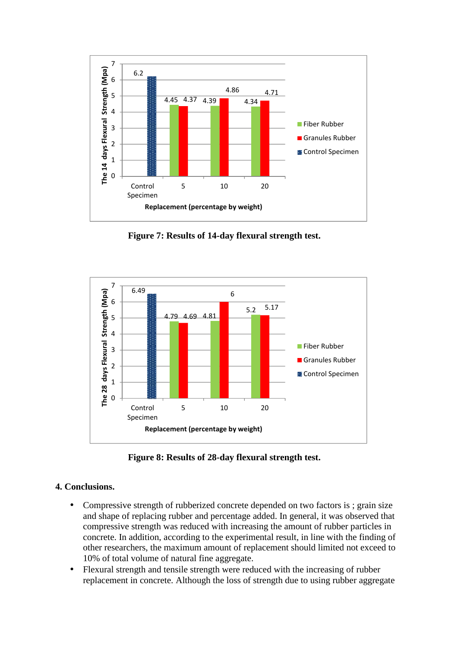

**Figure 7: Results of 14-day flexural strength test.**



**Figure 8: Results of 28-day flexural strength test.**

## **4. Conclusions.**

- Compressive strength of rubberized concrete depended on two factors is ; grain size and shape of replacing rubber and percentage added. In general, it was observed that compressive strength was reduced with increasing the amount of rubber particles in concrete. In addition, according to the experimental result, in line with the finding of other researchers, the maximum amount of replacement should limited not exceed to 10% of total volume of natural fine aggregate.
- Flexural strength and tensile strength were reduced with the increasing of rubber replacement in concrete. Although the loss of strength due to using rubber aggregate